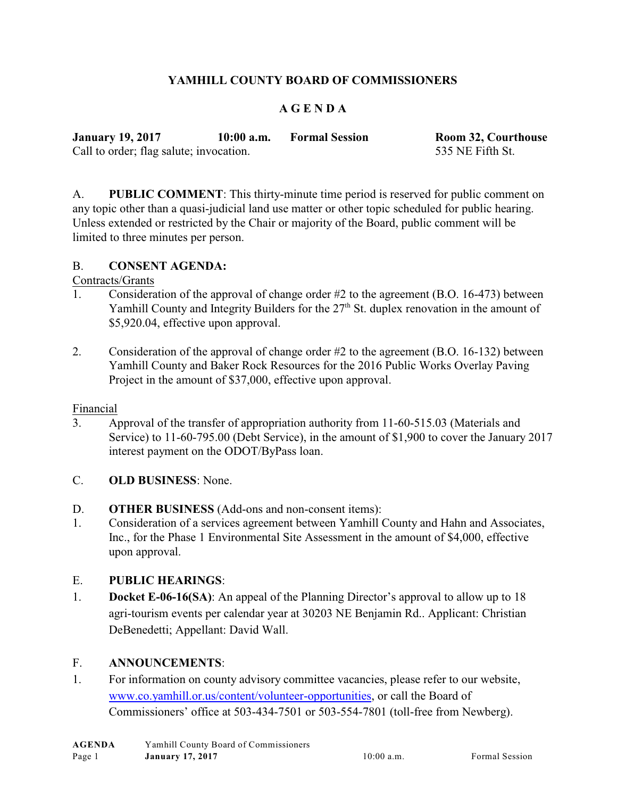# **YAMHILL COUNTY BOARD OF COMMISSIONERS**

## **A G E N D A**

| <b>January 19, 2017</b>                 | $10:00$ a.m. | <b>Formal Session</b> | <b>Room 32, Courthouse</b> |
|-----------------------------------------|--------------|-----------------------|----------------------------|
| Call to order; flag salute; invocation. |              |                       | 535 NE Fifth St.           |

A. **PUBLIC COMMENT**: This thirty-minute time period is reserved for public comment on any topic other than a quasi-judicial land use matter or other topic scheduled for public hearing. Unless extended or restricted by the Chair or majority of the Board, public comment will be limited to three minutes per person.

#### B. **CONSENT AGENDA:**

#### Contracts/Grants

- 1. Consideration of the approval of change order #2 to the agreement (B.O. 16-473) between Yamhill County and Integrity Builders for the  $27<sup>th</sup>$  St. duplex renovation in the amount of \$5,920.04, effective upon approval.
- 2. Consideration of the approval of change order #2 to the agreement (B.O. 16-132) between Yamhill County and Baker Rock Resources for the 2016 Public Works Overlay Paving Project in the amount of \$37,000, effective upon approval.

#### Financial

- 3. Approval of the transfer of appropriation authority from 11-60-515.03 (Materials and Service) to 11-60-795.00 (Debt Service), in the amount of \$1,900 to cover the January 2017 interest payment on the ODOT/ByPass loan.
- C. **OLD BUSINESS**: None.
- D. **OTHER BUSINESS** (Add-ons and non-consent items):
- 1. Consideration of a services agreement between Yamhill County and Hahn and Associates, Inc., for the Phase 1 Environmental Site Assessment in the amount of \$4,000, effective upon approval.

## E. **PUBLIC HEARINGS**:

1. **Docket E-06-16(SA)**: An appeal of the Planning Director's approval to allow up to 18 agri-tourism events per calendar year at 30203 NE Benjamin Rd.. Applicant: Christian DeBenedetti; Appellant: David Wall.

## F. **ANNOUNCEMENTS**:

1. For information on county advisory committee vacancies, please refer to our website, [www.co.yamhill.or.us/content/volunteer-opportunities](http://www.co.yamhill.or.us/content/volunteer-opportunities), or call the Board of Commissioners' office at 503-434-7501 or 503-554-7801 (toll-free from Newberg).